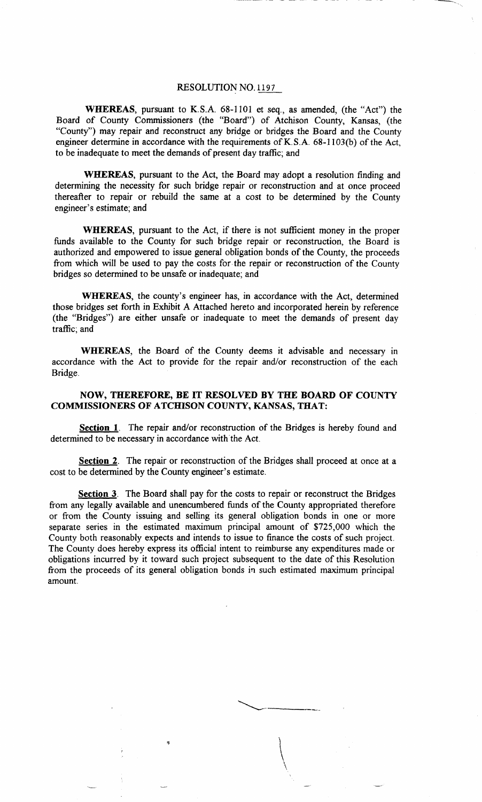## RESOLUTION NO. 1197

**WHEREAS,** pursuant to K.S.A. 68-1101 et seq., as amended, (the "Act") the Board of County Commissioners (the "Board") of Atchison County, Kansas, (the "County") may repair and reconstruct any bridge or bridges the Board and the County engineer determine in accordance with the requirements of K.S.A. 68-1103(b) of the Act, to be inadequate to meet the demands of present day traffic; and

**WHEREAS,** pursuant to the Act, the Board may adopt a resolution finding and determining the necessity for such bridge repair or reconstruction and at once proceed thereafter to repair or rebuild the same at a cost to be determined by the County engineer's estimate; and

**WHEREAS,** pursuant to the Act, if there is not sufficient money in the proper funds available to the County for such bridge repair or reconstruction, the Board is authorized and empowered to issue general obligation bonds of the County, the proceeds from which will be used to pay the costs for the repair or reconstruction of the County bridges so determined to be unsafe or inadequate; and

**WHEREAS,** the county's engineer has, in accordance with the Act, determined those bridges set forth in Exhibit A Attached hereto and incorporated herein by reference (the "Bridges") are either unsafe or inadequate to meet the demands of present day traffic; and

**WHEREAS,** the Board of the County deems it advisable and necessary in accordance with the Act to provide for the repair and/or reconstruction of the each Bridge.

## **NOW, THEREFORE, BE IT RESOLVED BY THE BOARD OF COUNTY COMMISSIONERS OF ATCHISON COUNTY, KANSAS, THAT:**

**Section 1.** The repair and/or reconstruction of the Bridges is hereby found and determined to be necessary in accordance with the Act.

Section 2. The repair or reconstruction of the Bridges shall proceed at once at a cost to be determined by the County engineer's estimate.

**Section 3.** The Board shall pay for the costs to repair or reconstruct the Bridges from any legally available and unencumbered funds of the County appropriated therefore or from the County issuing and selling its general obligation bonds in one or more separate series in the estimated maximum principal amount of \$725,000 which the County both reasonably expects and intends to issue to finance the costs of such project. The County does hereby express its official intent to reimburse any expenditures made or obligations incurred by it toward such project subsequent to the date of this Resolution from the proceeds of its general obligation bonds in such estimated maximum principal amount.